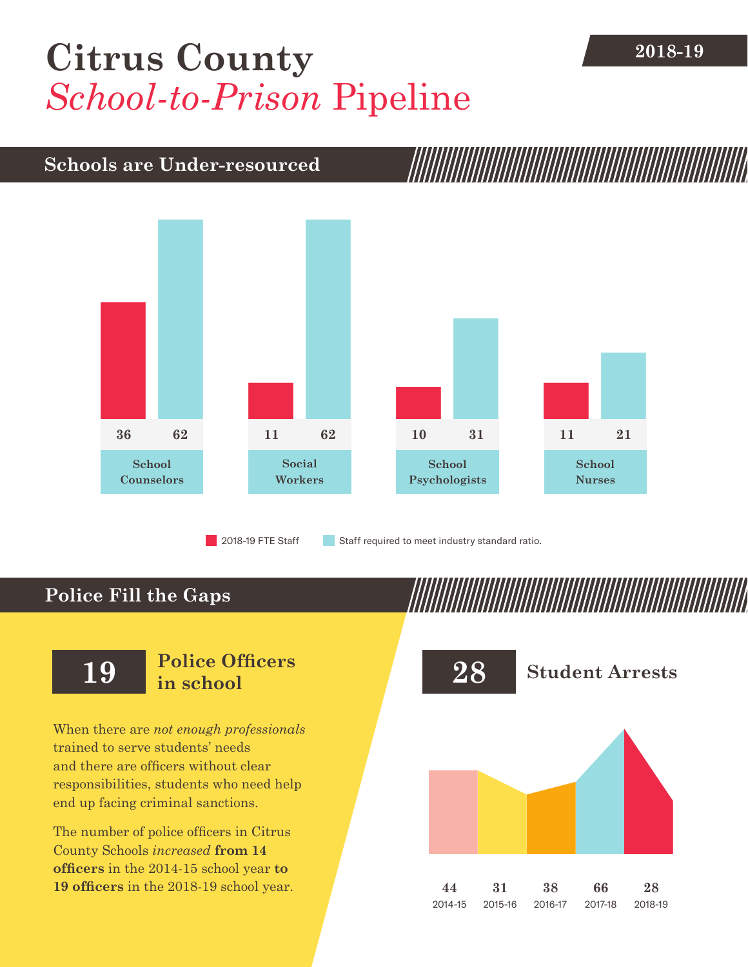## [Citrus County](DBF_County) **2018-19** *School-to-Prison* Pipeline

### **Schools are Under-resourced**



2018-19 FTE Staff **Staff required to meet industry standard ratio.** 

### **Police Fill the Gaps**

When there are *not enough professionals* trained to serve students' needs and there are officers without clear responsibilities, students who need help end up facing criminal sanctions.

The number of police officers in [Citrus](DBF_County)  [County](DBF_County) Schools *increased* **from [14](DBF_PO1415)  officers** in the 2014-15 school year **to [19](DBF_PO) officers** in the 2018-19 school year.